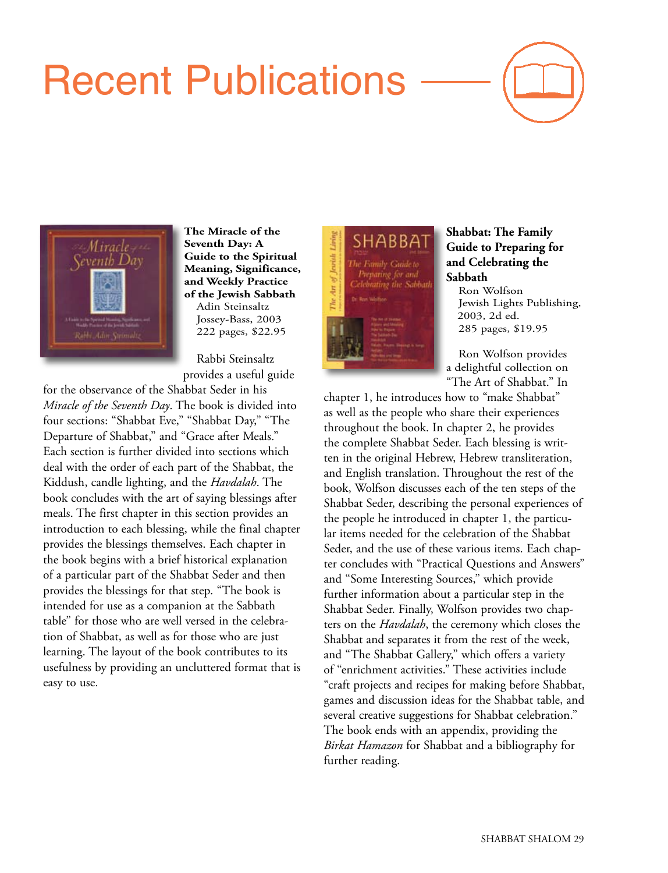## Recent Publications





**The Miracle of the Seventh Day: A Guide to the Spiritual Meaning, Significance, and Weekly Practice of the Jewish Sabbath** Adin Steinsaltz Jossey-Bass, 2003 222 pages, \$22.95

Rabbi Steinsaltz provides a useful guide

for the observance of the Shabbat Seder in his *Miracle of the Seventh Day*. The book is divided into four sections: "Shabbat Eve," "Shabbat Day," "The Departure of Shabbat," and "Grace after Meals." Each section is further divided into sections which deal with the order of each part of the Shabbat, the Kiddush, candle lighting, and the *Havdalah*. The book concludes with the art of saying blessings after meals. The first chapter in this section provides an introduction to each blessing, while the final chapter provides the blessings themselves. Each chapter in the book begins with a brief historical explanation of a particular part of the Shabbat Seder and then provides the blessings for that step. "The book is intended for use as a companion at the Sabbath table" for those who are well versed in the celebration of Shabbat, as well as for those who are just learning. The layout of the book contributes to its usefulness by providing an uncluttered format that is easy to use.



## **Shabbat: The Family Guide to Preparing for and Celebrating the Sabbath**

Ron Wolfson Jewish Lights Publishing, 2003, 2d ed. 285 pages, \$19.95

Ron Wolfson provides a delightful collection on "The Art of Shabbat." In

chapter 1, he introduces how to "make Shabbat" as well as the people who share their experiences throughout the book. In chapter 2, he provides the complete Shabbat Seder. Each blessing is written in the original Hebrew, Hebrew transliteration, and English translation. Throughout the rest of the book, Wolfson discusses each of the ten steps of the Shabbat Seder, describing the personal experiences of the people he introduced in chapter 1, the particular items needed for the celebration of the Shabbat Seder, and the use of these various items. Each chapter concludes with "Practical Questions and Answers" and "Some Interesting Sources," which provide further information about a particular step in the Shabbat Seder. Finally, Wolfson provides two chapters on the *Havdalah*, the ceremony which closes the Shabbat and separates it from the rest of the week, and "The Shabbat Gallery," which offers a variety of "enrichment activities." These activities include "craft projects and recipes for making before Shabbat, games and discussion ideas for the Shabbat table, and several creative suggestions for Shabbat celebration." The book ends with an appendix, providing the *Birkat Hamazon* for Shabbat and a bibliography for further reading.